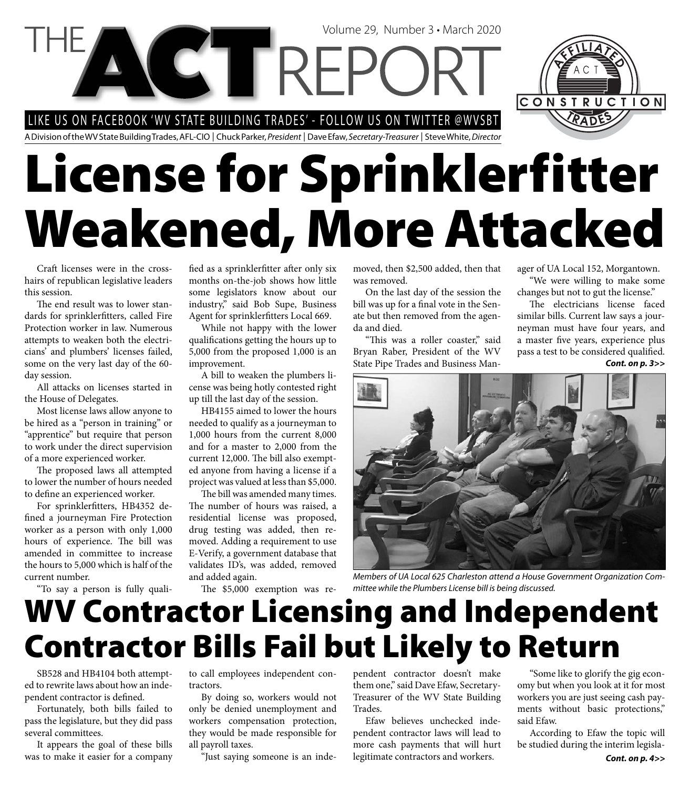LIKE US ON FACEBOOK 'WV STATE BUILDING TRADES' - FOLLOW US ON TWITTER @WVSBT

A Division of the WV State Building Trades, AFL-CIO | Chuck Parker, President | Dave Efaw, Secretary-Treasurer | Steve White, Director

# **License for Sprinklerfitter Weakened, More Attacked**

Volume 29, Number 3 • March 2020

Craft licenses were in the crosshairs of republican legislative leaders this session.

The end result was to lower standards for sprinklerfitters, called Fire Protection worker in law. Numerous attempts to weaken both the electricians' and plumbers' licenses failed, some on the very last day of the 60 day session.

All attacks on licenses started in the House of Delegates.

Most license laws allow anyone to be hired as a "person in training" or "apprentice" but require that person to work under the direct supervision of a more experienced worker.

The proposed laws all attempted to lower the number of hours needed to define an experienced worker.

For sprinklerfitters, HB4352 defined a journeyman Fire Protection worker as a person with only 1,000 hours of experience. The bill was amended in committee to increase the hours to 5,000 which is half of the current number.

"To say a person is fully quali-

fied as a sprinklerfitter after only six months on-the-job shows how little some legislators know about our industry," said Bob Supe, Business Agent for sprinklerfitters Local 669.

While not happy with the lower qualifications getting the hours up to 5,000 from the proposed 1,000 is an improvement.

A bill to weaken the plumbers license was being hotly contested right up till the last day of the session.

HB4155 aimed to lower the hours needed to qualify as a journeyman to 1,000 hours from the current 8,000 and for a master to 2,000 from the current 12,000. The bill also exempted anyone from having a license if a project was valued at less than \$5,000.

The bill was amended many times. The number of hours was raised, a residential license was proposed, drug testing was added, then removed. Adding a requirement to use E-Verify, a government database that validates ID's, was added, removed and added again.

The \$5,000 exemption was re-

moved, then \$2,500 added, then that was removed.

On the last day of the session the bill was up for a final vote in the Senate but then removed from the agenda and died.

"This was a roller coaster," said Bryan Raber, President of the WV State Pipe Trades and Business Manager of UA Local 152, Morgantown. "We were willing to make some

CONSTRUCTION

changes but not to gut the license." The electricians license faced

similar bills. Current law says a journeyman must have four years, and a master five years, experience plus pass a test to be considered qualified. *Cont. on p. 3>>*



Members of UA Local 625 Charleston attend a House Government Organization Committee while the Plumbers License bill is being discussed.

### **WV Contractor Licensing and Independent Contractor Bills Fail but Likely to Return**

SB528 and HB4104 both attempted to rewrite laws about how an independent contractor is defined.

Fortunately, both bills failed to pass the legislature, but they did pass several committees.

It appears the goal of these bills was to make it easier for a company to call employees independent contractors.

By doing so, workers would not only be denied unemployment and workers compensation protection, they would be made responsible for all payroll taxes.

"Just saying someone is an inde-

pendent contractor doesn't make them one," said Dave Efaw, Secretary-Treasurer of the WV State Building Trades.

Efaw believes unchecked independent contractor laws will lead to more cash payments that will hurt legitimate contractors and workers.

"Some like to glorify the gig economy but when you look at it for most workers you are just seeing cash payments without basic protections," said Efaw.

According to Efaw the topic will be studied during the interim legisla-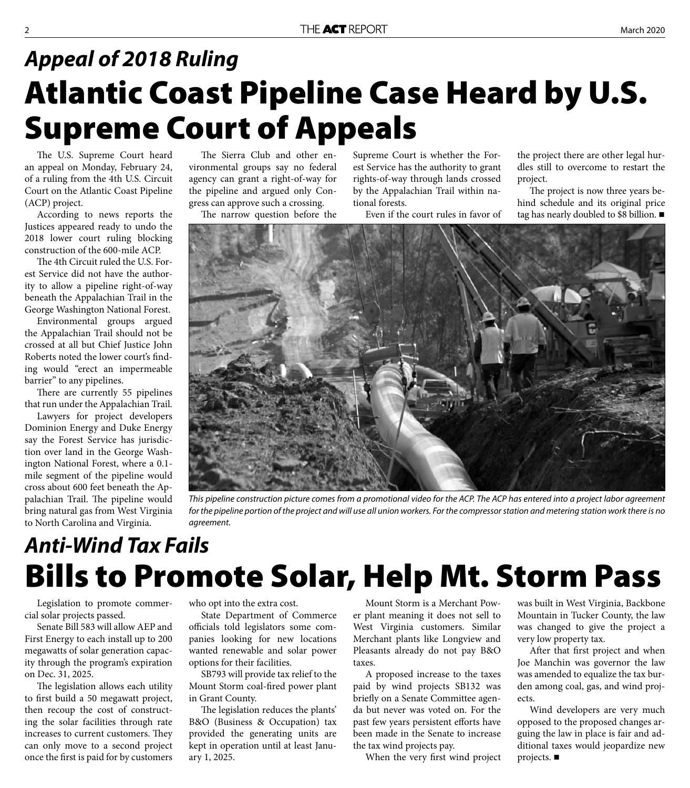#### **Atlantic Coast Pipeline Case Heard by U.S. Supreme Court of Appeals** *Appeal of 2018 Ruling*

The U.S. Supreme Court heard an appeal on Monday, February 24, of a ruling from the 4th U.S. Circuit Court on the Atlantic Coast Pipeline (ACP) project.

According to news reports the Justices appeared ready to undo the 2018 lower court ruling blocking construction of the 600-mile ACP.

The 4th Circuit ruled the U.S. Forest Service did not have the authority to allow a pipeline right-of-way beneath the Appalachian Trail in the George Washington National Forest.

Environmental groups argued the Appalachian Trail should not be crossed at all but Chief Justice John Roberts noted the lower court's finding would "erect an impermeable barrier" to any pipelines.

There are currently 55 pipelines that run under the Appalachian Trail.

Lawyers for project developers Dominion Energy and Duke Energy say the Forest Service has jurisdiction over land in the George Washington National Forest, where a 0.1 mile segment of the pipeline would cross about 600 feet beneath the Appalachian Trail. The pipeline would bring natural gas from West Virginia to North Carolina and Virginia.

The Sierra Club and other environmental groups say no federal agency can grant a right-of-way for the pipeline and argued only Congress can approve such a crossing.

The narrow question before the

Supreme Court is whether the Forest Service has the authority to grant rights-of-way through lands crossed by the Appalachian Trail within national forests.

Even if the court rules in favor of

the project there are other legal hurdles still to overcome to restart the project.

The project is now three years behind schedule and its original price tag has nearly doubled to \$8 billion.



This pipeline construction picture comes from a promotional video for the ACP. The ACP has entered into a project labor agreement for the pipeline portion of the project and will use all union workers. For the compressor station and metering station work there is no agreement.

#### **Bills to Promote Solar, Help Mt. Storm Pass** *Anti-Wind Tax Fails*

Legislation to promote commercial solar projects passed.

Senate Bill 583 will allow AEP and First Energy to each install up to 200 megawatts of solar generation capacity through the program's expiration on Dec. 31, 2025.

The legislation allows each utility to first build a 50 megawatt project, then recoup the cost of constructing the solar facilities through rate increases to current customers. They can only move to a second project once the first is paid for by customers

who opt into the extra cost.

State Department of Commerce officials told legislators some companies looking for new locations wanted renewable and solar power options for their facilities.

SB793 will provide tax relief to the Mount Storm coal-fired power plant in Grant County.

The legislation reduces the plants' B&O (Business & Occupation) tax provided the generating units are kept in operation until at least January 1, 2025.

Mount Storm is a Merchant Power plant meaning it does not sell to West Virginia customers. Similar Merchant plants like Longview and Pleasants already do not pay B&O taxes.

A proposed increase to the taxes paid by wind projects SB132 was briefly on a Senate Committee agenda but never was voted on. For the past few years persistent efforts have been made in the Senate to increase the tax wind projects pay.

When the very first wind project

was built in West Virginia, Backbone Mountain in Tucker County, the law was changed to give the project a very low property tax.

After that first project and when Joe Manchin was governor the law was amended to equalize the tax burden among coal, gas, and wind projects.

Wind developers are very much opposed to the proposed changes arguing the law in place is fair and additional taxes would jeopardize new projects.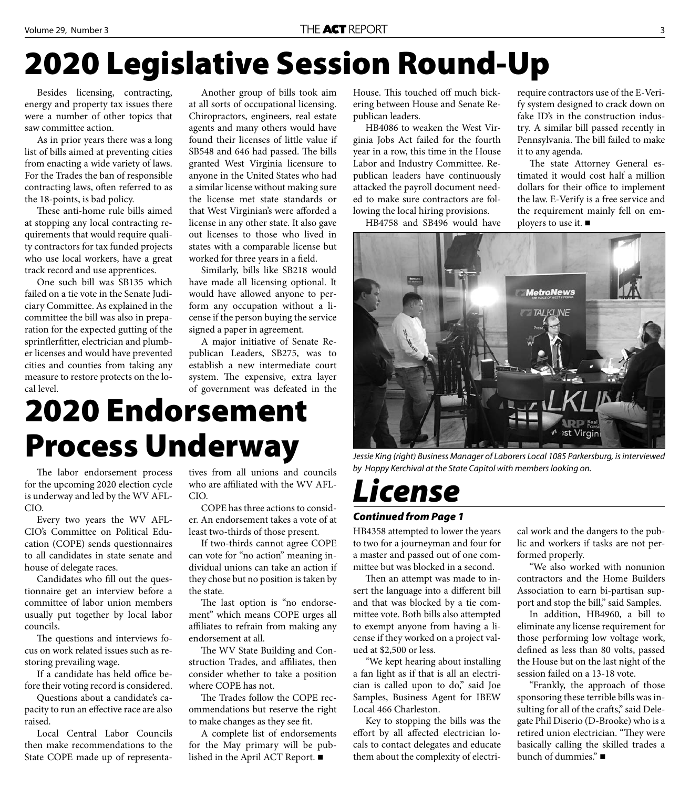### **2020 Legislative Session Round-Up**

Besides licensing, contracting, energy and property tax issues there were a number of other topics that saw committee action.

As in prior years there was a long list of bills aimed at preventing cities from enacting a wide variety of laws. For the Trades the ban of responsible contracting laws, often referred to as the 18-points, is bad policy.

These anti-home rule bills aimed at stopping any local contracting requirements that would require quality contractors for tax funded projects who use local workers, have a great track record and use apprentices.

One such bill was SB135 which failed on a tie vote in the Senate Judiciary Committee. As explained in the committee the bill was also in preparation for the expected gutting of the sprinflerfitter, electrician and plumber licenses and would have prevented cities and counties from taking any measure to restore protects on the local level.

Another group of bills took aim at all sorts of occupational licensing. Chiropractors, engineers, real estate agents and many others would have found their licenses of little value if SB548 and 646 had passed. The bills granted West Virginia licensure to anyone in the United States who had a similar license without making sure the license met state standards or that West Virginian's were afforded a license in any other state. It also gave out licenses to those who lived in states with a comparable license but worked for three years in a field.

Similarly, bills like SB218 would have made all licensing optional. It would have allowed anyone to perform any occupation without a license if the person buying the service signed a paper in agreement.

A major initiative of Senate Republican Leaders, SB275, was to establish a new intermediate court system. The expensive, extra layer of government was defeated in the

### **2020 Endorsement Process Underway**

The labor endorsement process for the upcoming 2020 election cycle is underway and led by the WV AFL-CIO.

Every two years the WV AFL-CIO's Committee on Political Education (COPE) sends questionnaires to all candidates in state senate and house of delegate races.

Candidates who fill out the questionnaire get an interview before a committee of labor union members usually put together by local labor councils.

The questions and interviews focus on work related issues such as restoring prevailing wage.

If a candidate has held office before their voting record is considered.

Questions about a candidate's capacity to run an effective race are also raised.

Local Central Labor Councils then make recommendations to the State COPE made up of representatives from all unions and councils who are affiliated with the WV AFL-CIO.

COPE has three actions to consider. An endorsement takes a vote of at least two-thirds of those present.

If two-thirds cannot agree COPE can vote for "no action" meaning individual unions can take an action if they chose but no position is taken by the state.

The last option is "no endorsement" which means COPE urges all affiliates to refrain from making any endorsement at all.

The WV State Building and Construction Trades, and affiliates, then consider whether to take a position where COPE has not.

The Trades follow the COPE recommendations but reserve the right to make changes as they see fit.

A complete list of endorsements for the May primary will be published in the April ACT Report.

House. This touched off much bickering between House and Senate Republican leaders.

HB4086 to weaken the West Virginia Jobs Act failed for the fourth year in a row, this time in the House Labor and Industry Committee. Republican leaders have continuously attacked the payroll document needed to make sure contractors are following the local hiring provisions.

HB4758 and SB496 would have

require contractors use of the E-Verify system designed to crack down on fake ID's in the construction industry. A similar bill passed recently in Pennsylvania. The bill failed to make it to any agenda.

The state Attorney General estimated it would cost half a million dollars for their office to implement the law. E-Verify is a free service and the requirement mainly fell on employers to use it. ■



Jessie King (right) Business Manager of Laborers Local 1085 Parkersburg, is interviewed by Hoppy Kerchival at the State Capitol with members looking on.

#### *License*

#### *Continued from Page 1*

HB4358 attempted to lower the years to two for a journeyman and four for a master and passed out of one committee but was blocked in a second.

Then an attempt was made to insert the language into a different bill and that was blocked by a tie committee vote. Both bills also attempted to exempt anyone from having a license if they worked on a project valued at \$2,500 or less.

"We kept hearing about installing a fan light as if that is all an electrician is called upon to do," said Joe Samples, Business Agent for IBEW Local 466 Charleston.

Key to stopping the bills was the effort by all affected electrician locals to contact delegates and educate them about the complexity of electri-

cal work and the dangers to the public and workers if tasks are not performed properly.

"We also worked with nonunion contractors and the Home Builders Association to earn bi-partisan support and stop the bill," said Samples.

In addition, HB4960, a bill to eliminate any license requirement for those performing low voltage work, defined as less than 80 volts, passed the House but on the last night of the session failed on a 13-18 vote.

"Frankly, the approach of those sponsoring these terrible bills was insulting for all of the crafts," said Delegate Phil Diserio (D-Brooke) who is a retired union electrician. "They were basically calling the skilled trades a bunch of dummies."